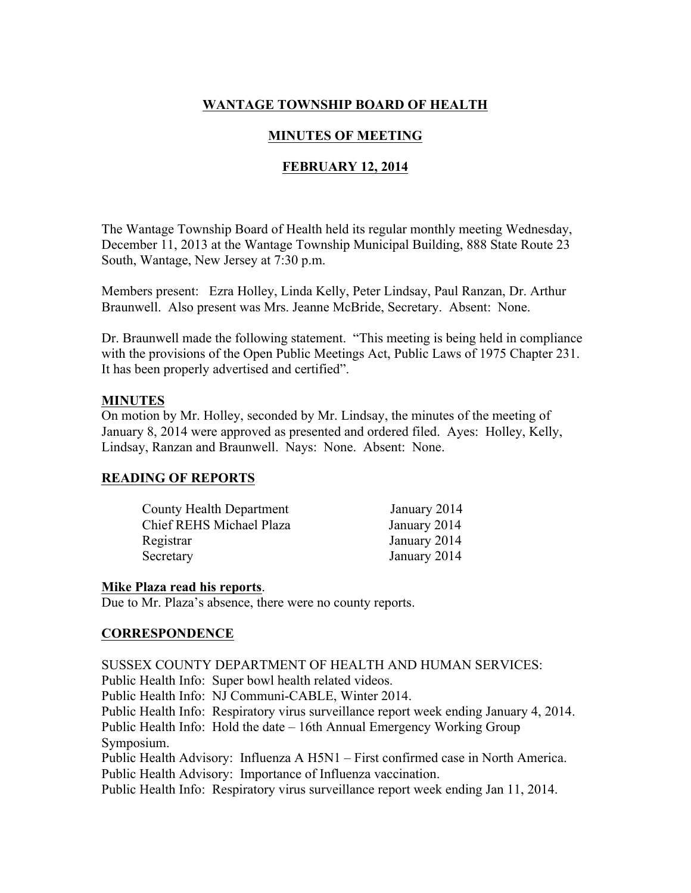# **WANTAGE TOWNSHIP BOARD OF HEALTH**

## **MINUTES OF MEETING**

## **FEBRUARY 12, 2014**

The Wantage Township Board of Health held its regular monthly meeting Wednesday, December 11, 2013 at the Wantage Township Municipal Building, 888 State Route 23 South, Wantage, New Jersey at 7:30 p.m.

Members present: Ezra Holley, Linda Kelly, Peter Lindsay, Paul Ranzan, Dr. Arthur Braunwell. Also present was Mrs. Jeanne McBride, Secretary. Absent: None.

Dr. Braunwell made the following statement. "This meeting is being held in compliance with the provisions of the Open Public Meetings Act, Public Laws of 1975 Chapter 231. It has been properly advertised and certified".

#### **MINUTES**

On motion by Mr. Holley, seconded by Mr. Lindsay, the minutes of the meeting of January 8, 2014 were approved as presented and ordered filed. Ayes: Holley, Kelly, Lindsay, Ranzan and Braunwell. Nays: None. Absent: None.

## **READING OF REPORTS**

| <b>County Health Department</b> | January 2014 |
|---------------------------------|--------------|
| Chief REHS Michael Plaza        | January 2014 |
| Registrar                       | January 2014 |
| Secretary                       | January 2014 |

#### **Mike Plaza read his reports**.

Due to Mr. Plaza's absence, there were no county reports.

#### **CORRESPONDENCE**

SUSSEX COUNTY DEPARTMENT OF HEALTH AND HUMAN SERVICES :

Public Health Info: Super bowl health related videos.

Public Health Info: NJ Communi-CABLE, Winter 2014.

Public Health Info: Respiratory virus surveillance report week ending January 4, 2014. Public Health Info: Hold the date – 16th Annual Emergency Working Group

Symposium.

Public Health Advisory: Influenza A H5N1 – First confirmed case in North America. Public Health Advisory: Importance of Influenza vaccination.

Public Health Info: Respiratory virus surveillance report week ending Jan 11, 2014.